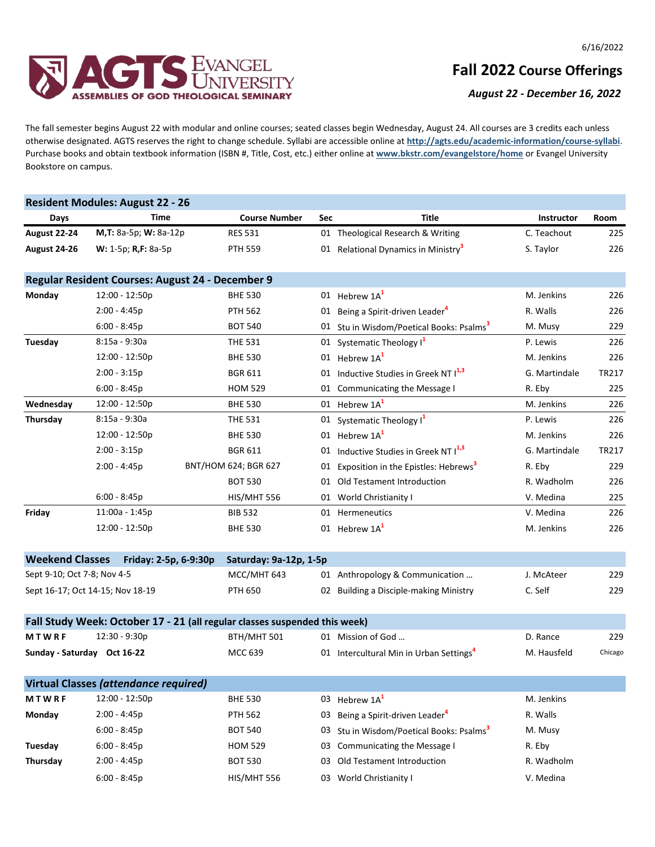

## **Fall 2022 Course Offerings**

*August 22 - December 16, 2022*

The fall semester begins August 22 with modular and online courses; seated classes begin Wednesday, August 24. All courses are 3 credits each unless otherwise designated. AGTS reserves the right to change schedule. Syllabi are accessible online at **http://agts.edu/academic-information/course-syllabi**. Purchase books and obtain textbook information (ISBN #, Title, Cost, etc.) either online at **www.bkstr.com/evangelstore/home** or Evangel University Bookstore on campus.

|                                                 | <b>Resident Modules: August 22 - 26</b>          |                                                                            |     |                                                      |                   |         |
|-------------------------------------------------|--------------------------------------------------|----------------------------------------------------------------------------|-----|------------------------------------------------------|-------------------|---------|
| Days                                            | Time                                             | <b>Course Number</b>                                                       | Sec | <b>Title</b>                                         | <b>Instructor</b> | Room    |
| August 22-24                                    | M,T: 8a-5p; W: 8a-12p                            | <b>RES 531</b>                                                             |     | 01 Theological Research & Writing                    | C. Teachout       | 225     |
| August 24-26                                    | W: 1-5p; R,F: 8a-5p                              | <b>PTH 559</b>                                                             |     | 01 Relational Dynamics in Ministry <sup>3</sup>      | S. Taylor         | 226     |
|                                                 | Regular Resident Courses: August 24 - December 9 |                                                                            |     |                                                      |                   |         |
| Monday                                          | 12:00 - 12:50p                                   | <b>BHE 530</b>                                                             |     | 01 Hebrew $1A1$                                      | M. Jenkins        | 226     |
|                                                 | $2:00 - 4:45p$                                   | <b>PTH 562</b>                                                             |     | 01 Being a Spirit-driven Leader <sup>4</sup>         | R. Walls          | 226     |
|                                                 | $6:00 - 8:45p$                                   | <b>BOT 540</b>                                                             |     | 01 Stu in Wisdom/Poetical Books: Psalms <sup>3</sup> | M. Musy           | 229     |
| Tuesday                                         | 8:15a - 9:30a                                    | <b>THE 531</b>                                                             |     | 01 Systematic Theology I <sup>1</sup>                | P. Lewis          | 226     |
|                                                 | 12:00 - 12:50p                                   | <b>BHE 530</b>                                                             |     | 01 Hebrew 1A <sup>1</sup>                            | M. Jenkins        | 226     |
|                                                 | $2:00 - 3:15p$                                   | <b>BGR 611</b>                                                             |     | 01 Inductive Studies in Greek NT 11,3                | G. Martindale     | TR217   |
|                                                 | $6:00 - 8:45p$                                   | <b>HOM 529</b>                                                             |     | 01 Communicating the Message I                       | R. Eby            | 225     |
| Wednesday                                       | 12:00 - 12:50p                                   | <b>BHE 530</b>                                                             |     | 01 Hebrew 1A <sup>1</sup>                            | M. Jenkins        | 226     |
| Thursday                                        | 8:15a - 9:30a                                    | <b>THE 531</b>                                                             |     | 01 Systematic Theology I <sup>1</sup>                | P. Lewis          | 226     |
|                                                 | 12:00 - 12:50p                                   | <b>BHE 530</b>                                                             |     | 01 Hebrew $1A1$                                      | M. Jenkins        | 226     |
|                                                 | $2:00 - 3:15p$                                   | <b>BGR 611</b>                                                             |     | 01 Inductive Studies in Greek NT I <sup>1,3</sup>    | G. Martindale     | TR217   |
|                                                 | $2:00 - 4:45p$                                   | BNT/HOM 624; BGR 627                                                       | 01  | Exposition in the Epistles: Hebrews <sup>3</sup>     | R. Eby            | 229     |
|                                                 |                                                  | <b>BOT 530</b>                                                             |     | 01 Old Testament Introduction                        | R. Wadholm        | 226     |
|                                                 | $6:00 - 8:45p$                                   | HIS/MHT 556                                                                |     | 01 World Christianity I                              | V. Medina         | 225     |
| Friday                                          | 11:00a - 1:45p                                   | <b>BIB 532</b>                                                             |     | 01 Hermeneutics                                      | V. Medina         | 226     |
|                                                 | 12:00 - 12:50p                                   | <b>BHE 530</b>                                                             |     | 01 Hebrew $1A1$                                      | M. Jenkins        | 226     |
| <b>Weekend Classes</b><br>Friday: 2-5p, 6-9:30p |                                                  | Saturday: 9a-12p, 1-5p                                                     |     |                                                      |                   |         |
| Sept 9-10; Oct 7-8; Nov 4-5                     |                                                  | MCC/MHT 643                                                                |     | 01 Anthropology & Communication                      | J. McAteer        | 229     |
| Sept 16-17; Oct 14-15; Nov 18-19                |                                                  | <b>PTH 650</b>                                                             |     | 02 Building a Disciple-making Ministry               | C. Self           | 229     |
|                                                 |                                                  | Fall Study Week: October 17 - 21 (all regular classes suspended this week) |     |                                                      |                   |         |
| <b>MTWRF</b>                                    | 12:30 - 9:30p                                    | BTH/MHT 501                                                                |     | 01 Mission of God                                    | D. Rance          | 229     |
| Sunday - Saturday Oct 16-22                     |                                                  | MCC 639                                                                    |     | 01 Intercultural Min in Urban Settings <sup>4</sup>  | M. Hausfeld       | Chicago |
|                                                 | <b>Virtual Classes (attendance required)</b>     |                                                                            |     |                                                      |                   |         |
| <b>MTWRF</b>                                    | 12:00 - 12:50p                                   | <b>BHE 530</b>                                                             |     | 03 Hebrew 1A <sup>1</sup>                            | M. Jenkins        |         |
| Monday                                          | 2:00 - 4:45p                                     | <b>PTH 562</b>                                                             | 03  | Being a Spirit-driven Leader <sup>4</sup>            | R. Walls          |         |
|                                                 | $6:00 - 8:45p$                                   | <b>BOT 540</b>                                                             | 03  | Stu in Wisdom/Poetical Books: Psalms <sup>3</sup>    | M. Musy           |         |
| Tuesday                                         | $6:00 - 8:45p$                                   | <b>HOM 529</b>                                                             | 03  | Communicating the Message I                          | R. Eby            |         |
| Thursday                                        | $2:00 - 4:45p$                                   | <b>BOT 530</b>                                                             | 03  | Old Testament Introduction                           | R. Wadholm        |         |
|                                                 | $6:00 - 8:45p$                                   | HIS/MHT 556                                                                | 03  | World Christianity I                                 | V. Medina         |         |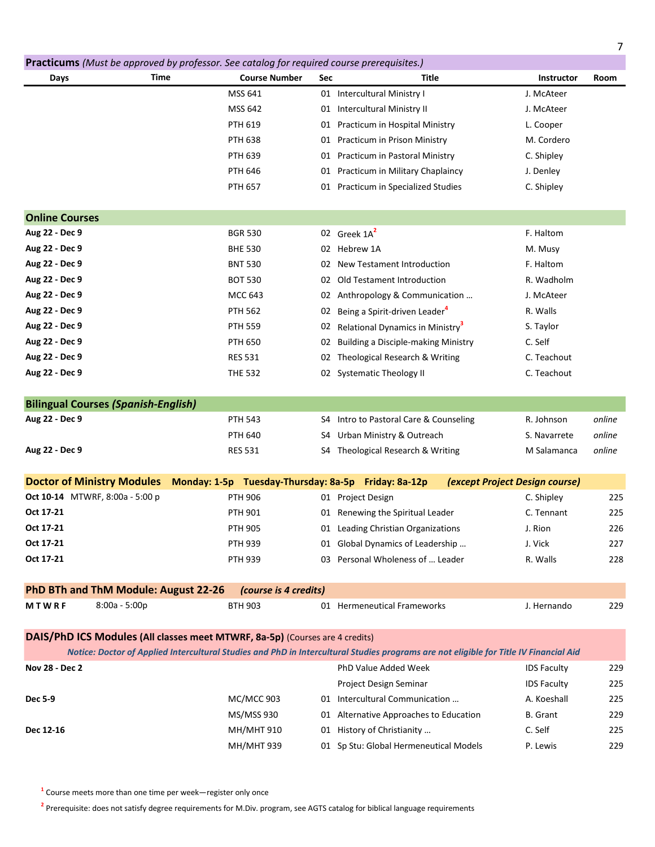|                                            | Practicums (Must be approved by professor. See catalog for required course prerequisites.) |     |                                                                                                                                       |                                |        |
|--------------------------------------------|--------------------------------------------------------------------------------------------|-----|---------------------------------------------------------------------------------------------------------------------------------------|--------------------------------|--------|
| Time<br>Days                               | <b>Course Number</b>                                                                       | Sec | Title                                                                                                                                 | Instructor                     | Room   |
|                                            | MSS 641                                                                                    |     | 01 Intercultural Ministry I                                                                                                           | J. McAteer                     |        |
|                                            | <b>MSS 642</b>                                                                             |     | 01 Intercultural Ministry II                                                                                                          | J. McAteer                     |        |
|                                            | <b>PTH 619</b>                                                                             |     | 01 Practicum in Hospital Ministry                                                                                                     | L. Cooper                      |        |
|                                            | <b>PTH 638</b>                                                                             |     | 01 Practicum in Prison Ministry                                                                                                       | M. Cordero                     |        |
|                                            | <b>PTH 639</b>                                                                             |     | 01 Practicum in Pastoral Ministry                                                                                                     | C. Shipley                     |        |
|                                            | <b>PTH 646</b>                                                                             |     | 01 Practicum in Military Chaplaincy                                                                                                   | J. Denley                      |        |
|                                            | <b>PTH 657</b>                                                                             |     | 01 Practicum in Specialized Studies                                                                                                   | C. Shipley                     |        |
| <b>Online Courses</b>                      |                                                                                            |     |                                                                                                                                       |                                |        |
| Aug 22 - Dec 9                             | <b>BGR 530</b>                                                                             |     | 02 Greek 1A <sup>2</sup>                                                                                                              | F. Haltom                      |        |
| Aug 22 - Dec 9                             | <b>BHE 530</b>                                                                             |     | 02 Hebrew 1A                                                                                                                          | M. Musy                        |        |
| Aug 22 - Dec 9                             | <b>BNT 530</b>                                                                             |     | 02 New Testament Introduction                                                                                                         | F. Haltom                      |        |
| Aug 22 - Dec 9                             | <b>BOT 530</b>                                                                             |     | 02 Old Testament Introduction                                                                                                         | R. Wadholm                     |        |
| Aug 22 - Dec 9                             | MCC 643                                                                                    |     | 02 Anthropology & Communication                                                                                                       | J. McAteer                     |        |
| Aug 22 - Dec 9                             | <b>PTH 562</b>                                                                             |     | 02 Being a Spirit-driven Leader <sup>4</sup>                                                                                          | R. Walls                       |        |
| Aug 22 - Dec 9                             | <b>PTH 559</b>                                                                             |     | 02 Relational Dynamics in Ministry <sup>3</sup>                                                                                       | S. Taylor                      |        |
| Aug 22 - Dec 9                             | <b>PTH 650</b>                                                                             | 02  | <b>Building a Disciple-making Ministry</b>                                                                                            | C. Self                        |        |
| Aug 22 - Dec 9                             | <b>RES 531</b>                                                                             |     | 02 Theological Research & Writing                                                                                                     | C. Teachout                    |        |
| Aug 22 - Dec 9                             | <b>THE 532</b>                                                                             |     | 02 Systematic Theology II                                                                                                             | C. Teachout                    |        |
| <b>Bilingual Courses (Spanish-English)</b> |                                                                                            |     |                                                                                                                                       |                                |        |
| Aug 22 - Dec 9                             | <b>PTH 543</b>                                                                             |     | S4 Intro to Pastoral Care & Counseling                                                                                                | R. Johnson                     | online |
|                                            | <b>PTH 640</b>                                                                             |     | S4 Urban Ministry & Outreach                                                                                                          | S. Navarrete                   | online |
| Aug 22 - Dec 9                             | <b>RES 531</b>                                                                             |     | S4 Theological Research & Writing                                                                                                     | M Salamanca                    | online |
|                                            |                                                                                            |     |                                                                                                                                       |                                |        |
| <b>Doctor of Ministry Modules</b>          | Monday: 1-5p Tuesday-Thursday: 8a-5p Friday: 8a-12p                                        |     |                                                                                                                                       | (except Project Design course) |        |
| Oct 10-14 MTWRF, 8:00a - 5:00 p            | <b>PTH 906</b>                                                                             |     | 01 Project Design                                                                                                                     | C. Shipley                     | 225    |
| Oct 17-21                                  | <b>PTH 901</b>                                                                             |     | 01 Renewing the Spiritual Leader                                                                                                      | C. Tennant                     | 225    |
| Oct 17-21                                  | PTH 905                                                                                    |     | 01 Leading Christian Organizations                                                                                                    | J. Rion                        | 226    |
| Oct 17-21                                  | <b>PTH 939</b>                                                                             |     | 01 Global Dynamics of Leadership                                                                                                      | J. Vick                        | 227    |
| Oct 17-21                                  | <b>PTH 939</b>                                                                             |     | 03 Personal Wholeness of  Leader                                                                                                      | R. Walls                       | 228    |
| PhD BTh and ThM Module: August 22-26       | (course is 4 credits)                                                                      |     |                                                                                                                                       |                                |        |
| MTWRF<br>8:00a - 5:00p                     | <b>BTH 903</b>                                                                             |     | 01 Hermeneutical Frameworks                                                                                                           | J. Hernando                    | 229    |
|                                            | DAIS/PhD ICS Modules (All classes meet MTWRF, 8a-5p) (Courses are 4 credits)               |     |                                                                                                                                       |                                |        |
|                                            |                                                                                            |     | Notice: Doctor of Applied Intercultural Studies and PhD in Intercultural Studies programs are not eligible for Title IV Financial Aid |                                |        |
| Nov 28 - Dec 2                             |                                                                                            |     | PhD Value Added Week                                                                                                                  | <b>IDS Faculty</b>             | 229    |
|                                            |                                                                                            |     | Project Design Seminar                                                                                                                | <b>IDS Faculty</b>             | 225    |
| Dec 5-9                                    | <b>MC/MCC 903</b>                                                                          |     | 01 Intercultural Communication                                                                                                        | A. Koeshall                    | 225    |
|                                            | MS/MSS 930                                                                                 |     | 01 Alternative Approaches to Education                                                                                                | <b>B.</b> Grant                | 229    |
| Dec 12-16                                  | MH/MHT 910                                                                                 |     | 01 History of Christianity                                                                                                            | C. Self                        | 225    |
|                                            | <b>MH/MHT 939</b>                                                                          |     | 01 Sp Stu: Global Hermeneutical Models                                                                                                | P. Lewis                       | 229    |

**1** Course meets more than one time per week—register only once

**2** Prerequisite: does not satisfy degree requirements for M.Div. program, see AGTS catalog for biblical language requirements